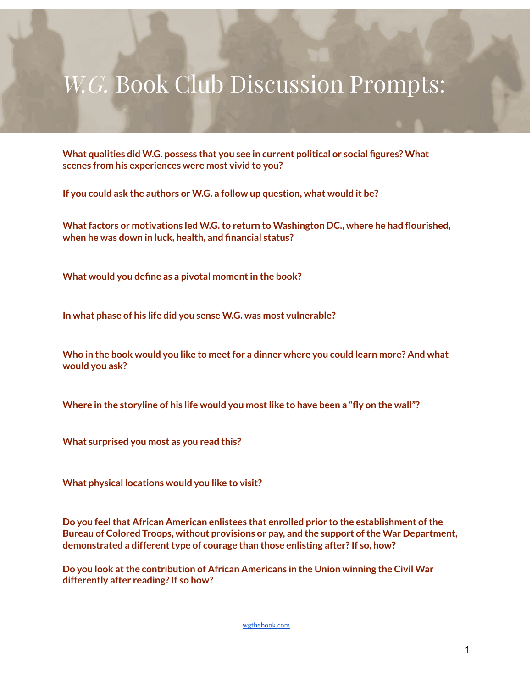## *W.G.* Book Club Discussion Prompts:

**What qualities did W.G. possess that you see in current political or social figures? What scenes from his experiences were most vivid to you?**

**If you could ask the authors or W.G. a follow up question, what would it be?**

**Whatfactors or motivations led W.G.to return to Washington DC., where he had flourished, when he was down in luck, health, and financial status?**

**What would you define as a pivotal momentin the book?**

**In what phase of his life did you sense W.G. was most vulnerable?**

**Who in the book would you like to meetfor a dinner where you could learn more? And what would you ask?**

**Where in the storyline of his life would you mostlike to have been a "fly on the wall"?**

**What surprised you most as you read this?**

**What physical locations would you like to visit?**

**Do you feelthat African American enlistees that enrolled prior to the establishment ofthe Bureau of Colored Troops, without provisions or pay, and the support ofthe War Department, demonstrated a differenttype of courage than those enlisting after? If so, how?**

**Do you look atthe contribution of African Americans in the Union winning the Civil War differently after reading? If so how?**

[wgthebook.com](https://wgthebook.com/)